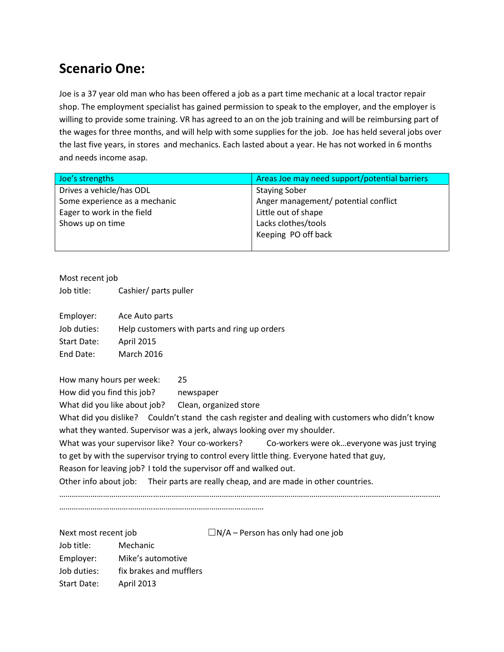## **Scenario One:**

Joe is a 37 year old man who has been offered a job as a part time mechanic at a local tractor repair shop. The employment specialist has gained permission to speak to the employer, and the employer is willing to provide some training. VR has agreed to an on the job training and will be reimbursing part of the wages for three months, and will help with some supplies for the job. Joe has held several jobs over the last five years, in stores and mechanics. Each lasted about a year. He has not worked in 6 months and needs income asap.

| Joe's strengths               | Areas Joe may need support/potential barriers |
|-------------------------------|-----------------------------------------------|
| Drives a vehicle/has ODL      | <b>Staying Sober</b>                          |
| Some experience as a mechanic | Anger management/ potential conflict          |
| Eager to work in the field    | Little out of shape                           |
| Shows up on time              | Lacks clothes/tools                           |
|                               | Keeping PO off back                           |
|                               |                                               |

Most recent job

Job title: Cashier/ parts puller

| Ace Auto parts                               |
|----------------------------------------------|
| Help customers with parts and ring up orders |
| <b>April 2015</b>                            |
| <b>March 2016</b>                            |
|                                              |

How many hours per week: 25 How did you find this job? newspaper What did you like about job? Clean, organized store What did you dislike? Couldn't stand the cash register and dealing with customers who didn't know what they wanted. Supervisor was a jerk, always looking over my shoulder. What was your supervisor like? Your co-workers? Co-workers were ok...everyone was just trying to get by with the supervisor trying to control every little thing. Everyone hated that guy, Reason for leaving job? I told the supervisor off and walked out. Other info about job: Their parts are really cheap, and are made in other countries. …………………………………………………………………………………………………………………………………………………………………

……………………………………………………………………………..………

| Next most recent job |                         | $\Box$ N/A – Person has only had one job |
|----------------------|-------------------------|------------------------------------------|
| Job title:           | Mechanic                |                                          |
| Employer:            | Mike's automotive       |                                          |
| Job duties:          | fix brakes and mufflers |                                          |
| Start Date:          | April 2013              |                                          |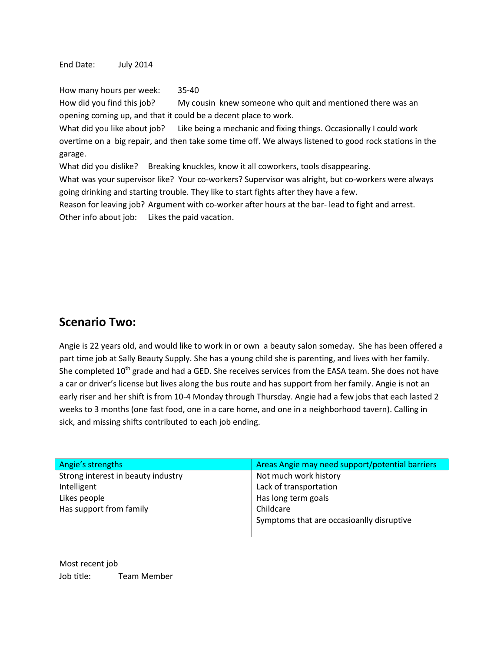End Date: July 2014

How many hours per week: 35-40

How did you find this job? My cousin knew someone who quit and mentioned there was an opening coming up, and that it could be a decent place to work.

What did you like about job? Like being a mechanic and fixing things. Occasionally I could work overtime on a big repair, and then take some time off. We always listened to good rock stations in the garage.

What did you dislike? Breaking knuckles, know it all coworkers, tools disappearing.

What was your supervisor like? Your co-workers? Supervisor was alright, but co-workers were always going drinking and starting trouble. They like to start fights after they have a few.

Reason for leaving job? Argument with co-worker after hours at the bar- lead to fight and arrest. Other info about job: Likes the paid vacation.

## **Scenario Two:**

Angie is 22 years old, and would like to work in or own a beauty salon someday. She has been offered a part time job at Sally Beauty Supply. She has a young child she is parenting, and lives with her family. She completed 10<sup>th</sup> grade and had a GED. She receives services from the EASA team. She does not have a car or driver's license but lives along the bus route and has support from her family. Angie is not an early riser and her shift is from 10-4 Monday through Thursday. Angie had a few jobs that each lasted 2 weeks to 3 months (one fast food, one in a care home, and one in a neighborhood tavern). Calling in sick, and missing shifts contributed to each job ending.

| Angie's strengths                  | Areas Angie may need support/potential barriers |
|------------------------------------|-------------------------------------------------|
| Strong interest in beauty industry | Not much work history                           |
| Intelligent                        | Lack of transportation                          |
| Likes people                       | Has long term goals                             |
| Has support from family            | Childcare                                       |
|                                    | Symptoms that are occasioanlly disruptive       |
|                                    |                                                 |

Most recent job Job title: Team Member